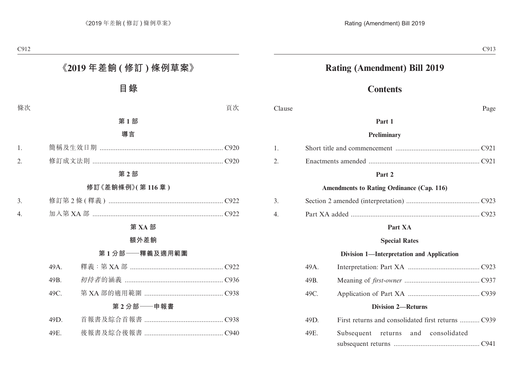## **Rating (Amendment) Bill 2019**

## **Contents**

Clause Page

|                  | Part 1                                           |  |  |  |  |  |
|------------------|--------------------------------------------------|--|--|--|--|--|
|                  | <b>Preliminary</b>                               |  |  |  |  |  |
| $\mathbf{1}$ .   |                                                  |  |  |  |  |  |
| $\overline{2}$ . |                                                  |  |  |  |  |  |
|                  | Part 2                                           |  |  |  |  |  |
|                  | <b>Amendments to Rating Ordinance (Cap. 116)</b> |  |  |  |  |  |
| 3.               |                                                  |  |  |  |  |  |

| 4. |  |  |  |
|----|--|--|--|

#### **Part XA**

#### **Special Rates**

#### **Division 1—Interpretation and Application**

|      | <b>Division 2—Returns</b> |
|------|---------------------------|
|      |                           |
|      |                           |
| 49A. |                           |

| 49D. – |  |                                     |  |
|--------|--|-------------------------------------|--|
| 49E.   |  | Subsequent returns and consolidated |  |
|        |  |                                     |  |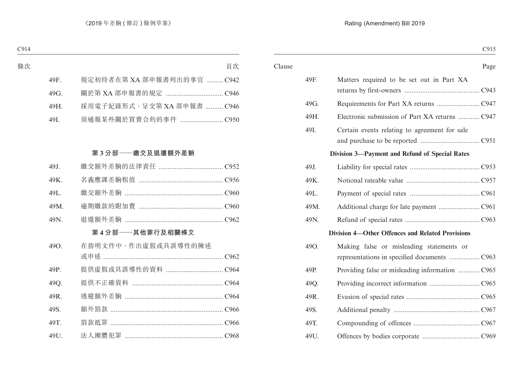| ۰,<br>w<br>۰,<br>۰.<br>٠<br>× |
|-------------------------------|
|-------------------------------|

| Clause |      | Page                                             |
|--------|------|--------------------------------------------------|
|        | 49F. | Matters required to be set out in Part XA        |
|        | 49G. |                                                  |
|        | 49H. | Electronic submission of Part XA returns  C947   |
|        | 49I. | Certain events relating to agreement for sale    |
|        |      | Division 3-Payment and Refund of Special Rates   |
|        | 49J. |                                                  |
|        | 49K. |                                                  |
|        | 49L. |                                                  |
|        | 49M. |                                                  |
|        | 49N. |                                                  |
|        |      | Division 4-Other Offences and Related Provisions |
|        | 49O. | Making false or misleading statements or         |
|        | 49P. | Providing false or misleading information  C965  |
|        | 49Q. |                                                  |
|        | 49R. |                                                  |
|        | 49S. |                                                  |
|        | 49T. |                                                  |
|        | 49U. |                                                  |
|        |      |                                                  |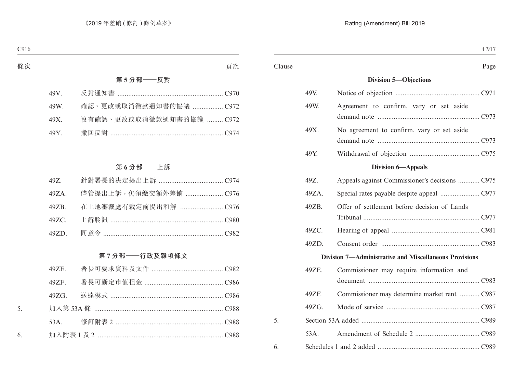| Clause | Page                                                          |
|--------|---------------------------------------------------------------|
|        | <b>Division 5-Objections</b>                                  |
| 49V.   |                                                               |
| 49W.   | Agreement to confirm, vary or set aside                       |
|        |                                                               |
| 49X.   | No agreement to confirm, vary or set aside                    |
|        |                                                               |
| 49Y.   |                                                               |
|        | <b>Division 6-Appeals</b>                                     |
| 49Z.   | Appeals against Commissioner's decisions  C975                |
| 49ZA.  |                                                               |
| 49ZB.  | Offer of settlement before decision of Lands                  |
|        |                                                               |
| 49ZC.  |                                                               |
| 49ZD.  |                                                               |
|        | <b>Division 7-Administrative and Miscellaneous Provisions</b> |
| 49ZE.  | Commissioner may require information and                      |
|        |                                                               |
| 49ZF.  | Commissioner may determine market rent  C987                  |
| 49ZG.  |                                                               |
| 5.     |                                                               |
| 53A.   |                                                               |
|        |                                                               |

6. Schedules 1 and 2 added ......................................................... C989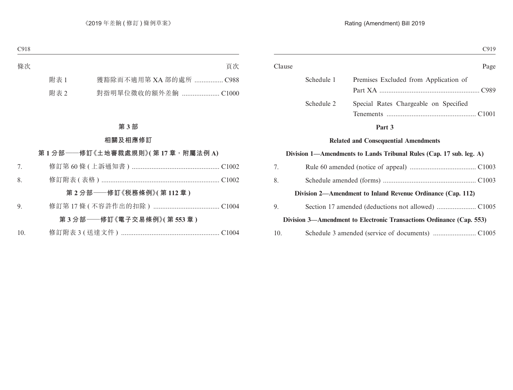| Clause     | Page                                  |
|------------|---------------------------------------|
| Schedule 1 | Premises Excluded from Application of |
|            | C989<br>Part XA                       |
| Schedule 2 | Special Rates Chargeable on Specified |
|            | C <sub>1001</sub><br><b>Tenements</b> |
|            |                                       |

#### **Part 3**

#### **Related and Consequential Amendments**

#### **Division 1—Amendments to Lands Tribunal Rules (Cap. 17 sub. leg. A)**

| 7.  |                                                                      |
|-----|----------------------------------------------------------------------|
| 8.  |                                                                      |
|     | Division 2—Amendment to Inland Revenue Ordinance (Cap. 112)          |
| 9.  |                                                                      |
|     | Division 3—Amendment to Electronic Transactions Ordinance (Cap. 553) |
| 10. |                                                                      |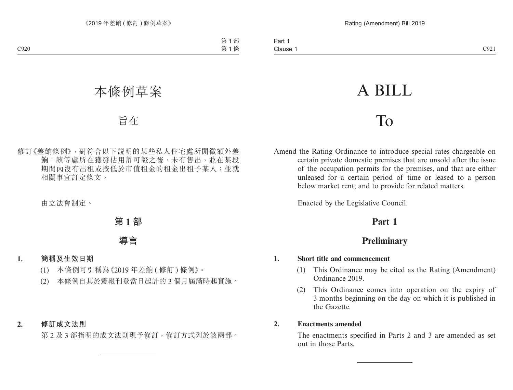# A BILL

## To

Amend the Rating Ordinance to introduce special rates chargeable on certain private domestic premises that are unsold after the issue of the occupation permits for the premises, and that are either unleased for a certain period of time or leased to a person below market rent; and to provide for related matters.

Enacted by the Legislative Council.

## **Part 1**

## **Preliminary**

#### **1. Short title and commencement**

- (1) This Ordinance may be cited as the Rating (Amendment) Ordinance 2019.
- (2) This Ordinance comes into operation on the expiry of 3 months beginning on the day on which it is published in the Gazette.

#### **2. Enactments amended**

The enactments specified in Parts 2 and 3 are amended as set out in those Parts.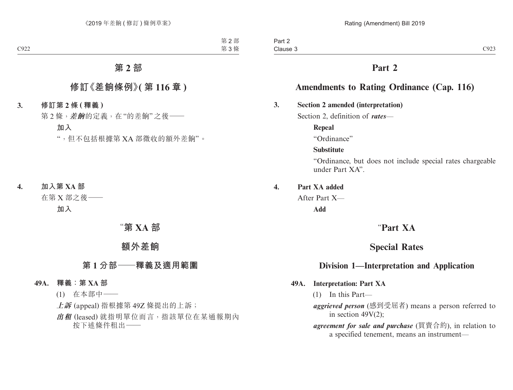## **Part 2**

## **Amendments to Rating Ordinance (Cap. 116)**

#### **3. Section 2 amended (interpretation)**

Section 2, definition of *rates*—

**Repeal**

"Ordinance"

#### **Substitute**

"Ordinance, but does not include special rates chargeable under Part XA".

#### **4. Part XA added**

After Part X—

**Add**

## "**Part XA**

## **Special Rates**

## **Division 1—Interpretation and Application**

#### **49A. Interpretation: Part XA**

(1) In this Part—

- *aggrieved person* (感到受屈者) means a person referred to in section 49V(2);
- *agreement for sale and purchase* (買賣合約), in relation to a specified tenement, means an instrument—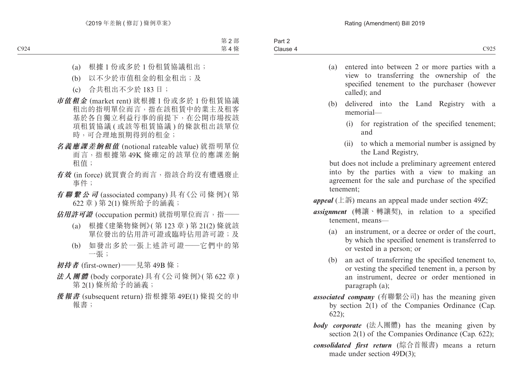- (a) entered into between 2 or more parties with a view to transferring the ownership of the specified tenement to the purchaser (however called); and
- (b) delivered into the Land Registry with a memorial—
	- (i) for registration of the specified tenement; and
	- (ii) to which a memorial number is assigned by the Land Registry,

but does not include a preliminary agreement entered into by the parties with a view to making an agreement for the sale and purchase of the specified tenement;

*appeal* (上訴) means an appeal made under section 49Z;

- *assignment* (轉讓、轉讓契), in relation to a specified tenement, means—
	- (a) an instrument, or a decree or order of the court, by which the specified tenement is transferred to or vested in a person; or
	- (b) an act of transferring the specified tenement to, or vesting the specified tenement in, a person by an instrument, decree or order mentioned in paragraph (a);
- *associated company* (有聯繫公司) has the meaning given by section 2(1) of the Companies Ordinance (Cap. 622);
- *body corporate* (法人團體) has the meaning given by section 2(1) of the Companies Ordinance (Cap. 622);
- *consolidated first return* (綜合首報書) means a return made under section 49D(3);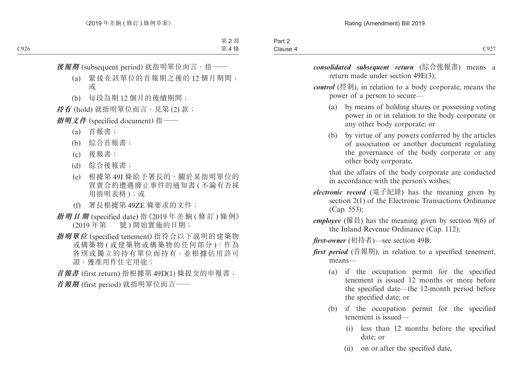| Part $\sim$ |              |            |        |                  |       |      |
|-------------|--------------|------------|--------|------------------|-------|------|
| Clause 4    |              |            |        |                  |       | C927 |
|             |              |            |        |                  |       |      |
|             | consolidated | subsequent | return | 合後報:<br>(綜<br>ra | means | u    |

return made under section 49E(3); *control* (控制), in relation to a body corporate, means the power of a person to secure— (a) by means of holding shares or possessing voting power in or in relation to the body corporate or any other body corporate; or (b) by virtue of any powers conferred by the articles of association or another document regulating the governance of the body corporate or any other body corporate, that the affairs of the body corporate are conducted in accordance with the person's wishes; *electronic record* (電子紀錄) has the meaning given by section 2(1) of the Electronic Transactions Ordinance (Cap. 553); *employee* (僱員) has the meaning given by section 9(6) of the Inland Revenue Ordinance (Cap. 112); *first-owner* (初持者)—see section 49B; *first period* (首報期), in relation to a specified tenement, means—

- (a) if the occupation permit for the specified tenement is issued 12 months or more before the specified date—the 12-month period before the specified date; or
- (b) if the occupation permit for the specified tenement is issued—
	- (i) less than 12 months before the specified date; or
	- (ii) on or after the specified date,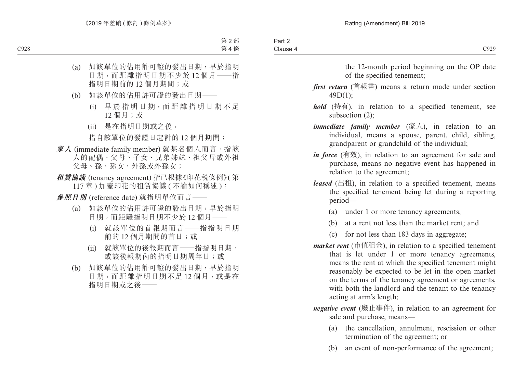the 12-month period beginning on the OP date of the specified tenement;

- *first return* (首報書) means a return made under section 49D(1);
- *hold* (持有), in relation to a specified tenement, see subsection (2);
- *immediate family member* (家人), in relation to an individual, means a spouse, parent, child, sibling, grandparent or grandchild of the individual;
- *in force* (有效), in relation to an agreement for sale and purchase, means no negative event has happened in relation to the agreement;
- *leased* (出租), in relation to a specified tenement, means the specified tenement being let during a reporting period—
	- (a) under 1 or more tenancy agreements;
	- (b) at a rent not less than the market rent; and
	- (c) for not less than 183 days in aggregate;
- *market rent* (市值租金), in relation to a specified tenement that is let under 1 or more tenancy agreements, means the rent at which the specified tenement might reasonably be expected to be let in the open market on the terms of the tenancy agreement or agreements, with both the landlord and the tenant to the tenancy acting at arm's length;
- *negative event* (廢止事件), in relation to an agreement for sale and purchase, means—
	- (a) the cancellation, annulment, rescission or other termination of the agreement; or
	- (b) an event of non-performance of the agreement;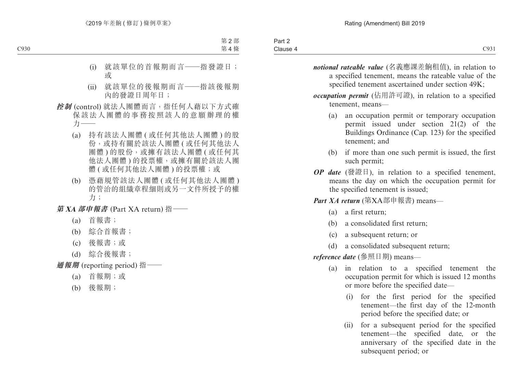| Part 2   |      |
|----------|------|
| Clause 4 | C931 |

- *notional rateable value* (名義應課差餉租值), in relation to a specified tenement, means the rateable value of the specified tenement ascertained under section 49K; *occupation permit* (佔用許可證), in relation to a specified tenement, means— (a) an occupation permit or temporary occupation permit issued under section 21(2) of the Buildings Ordinance (Cap. 123) for the specified tenement; and (b) if more than one such permit is issued, the first such permit; *OP date* (發證日), in relation to a specified tenement,
- means the day on which the occupation permit for the specified tenement is issued;

*Part XA return* (第XA部申報書) means—

- (a) a first return;
- (b) a consolidated first return;
- (c) a subsequent return; or
- (d) a consolidated subsequent return;

*reference date* (參照日期) means—

- (a) in relation to a specified tenement the occupation permit for which is issued 12 months or more before the specified date—
	- (i) for the first period for the specified tenement—the first day of the 12-month period before the specified date; or
	- (ii) for a subsequent period for the specified tenement—the specified date, or the anniversary of the specified date in the subsequent period; or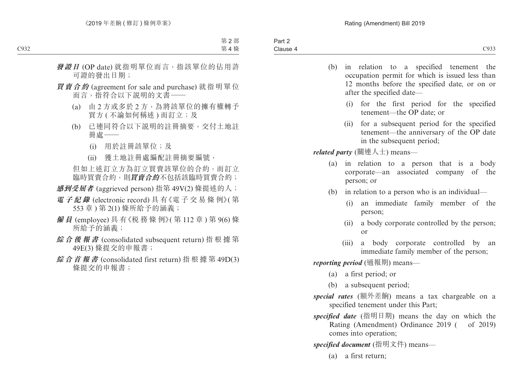- (b) in relation to a specified tenement the occupation permit for which is issued less than 12 months before the specified date, or on or after the specified date—
	- (i) for the first period for the specified tenement—the OP date; or
	- (ii) for a subsequent period for the specified tenement—the anniversary of the OP date in the subsequent period:

*related party* (關連人士) means—

- (a) in relation to a person that is a body corporate—an associated company of the person; or
- (b) in relation to a person who is an individual—
	- (i) an immediate family member of the person;
	- (ii) a body corporate controlled by the person; or
	- (iii) a body corporate controlled by an immediate family member of the person;

*reporting period* (通報期) means—

- (a) a first period; or
- (b) a subsequent period;
- *special rates* (額外差餉) means a tax chargeable on a specified tenement under this Part;
- *specified date* (指明日期) means the day on which the Rating (Amendment) Ordinance 2019 ( of 2019) comes into operation;

*specified document* (指明文件) means—

(a) a first return;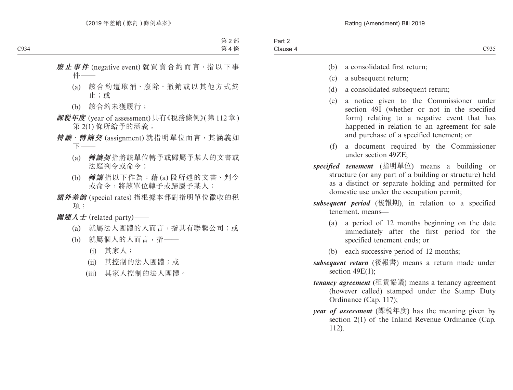- (b) a consolidated first return;
- (c) a subsequent return;
- (d) a consolidated subsequent return:
- (e) a notice given to the Commissioner under section 49I (whether or not in the specified form) relating to a negative event that has happened in relation to an agreement for sale and purchase of a specified tenement; or
- (f) a document required by the Commissioner under section 49ZE;
- *specified tenement* (指明單位) means a building or structure (or any part of a building or structure) held as a distinct or separate holding and permitted for domestic use under the occupation permit;
- *subsequent period* (後報期), in relation to a specified tenement, means—
	- (a) a period of 12 months beginning on the date immediately after the first period for the specified tenement ends; or
	- (b) each successive period of 12 months;
- *subsequent return* (後報書) means a return made under section 49E(1):
- *tenancy agreement* (租賃協議) means a tenancy agreement (however called) stamped under the Stamp Duty Ordinance (Cap. 117);
- *year of assessment* (課稅年度) has the meaning given by section 2(1) of the Inland Revenue Ordinance (Cap. 112).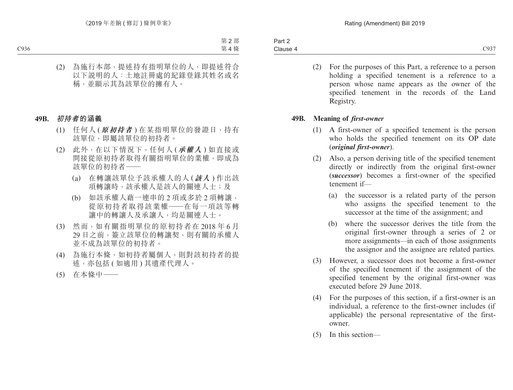- (2) For the purposes of this Part, a reference to a person holding a specified tenement is a reference to a
	- person whose name appears as the owner of the specified tenement in the records of the Land Registry.

#### **49B. Meaning of** *first-owner*

- (1) A first-owner of a specified tenement is the person who holds the specified tenement on its OP date (*original first-owner*).
- (2) Also, a person deriving title of the specified tenement directly or indirectly from the original first-owner (*successor*) becomes a first-owner of the specified tenement if—
	- (a) the successor is a related party of the person who assigns the specified tenement to the successor at the time of the assignment; and
	- (b) where the successor derives the title from the original first-owner through a series of 2 or more assignments—in each of those assignments the assignor and the assignee are related parties.
- (3) However, a successor does not become a first-owner of the specified tenement if the assignment of the specified tenement by the original first-owner was executed before 29 June 2018.
- (4) For the purposes of this section, if a first-owner is an individual, a reference to the first-owner includes (if applicable) the personal representative of the firstowner.
- (5) In this section—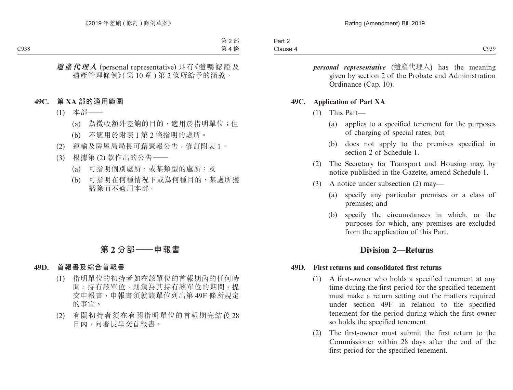*personal representative* (遺產代理人) has the meaning given by section 2 of the Probate and Administration Ordinance (Cap. 10).

#### **49C. Application of Part XA**

- (1) This Part—
	- (a) applies to a specified tenement for the purposes of charging of special rates; but
	- (b) does not apply to the premises specified in section 2 of Schedule 1.
- (2) The Secretary for Transport and Housing may, by notice published in the Gazette, amend Schedule 1.
- (3) A notice under subsection (2) may—
	- (a) specify any particular premises or a class of premises; and
	- (b) specify the circumstances in which, or the purposes for which, any premises are excluded from the application of this Part.

## **Division 2—Returns**

#### **49D. First returns and consolidated first returns**

- (1) A first-owner who holds a specified tenement at any time during the first period for the specified tenement must make a return setting out the matters required under section 49F in relation to the specified tenement for the period during which the first-owner so holds the specified tenement.
- (2) The first-owner must submit the first return to the Commissioner within 28 days after the end of the first period for the specified tenement.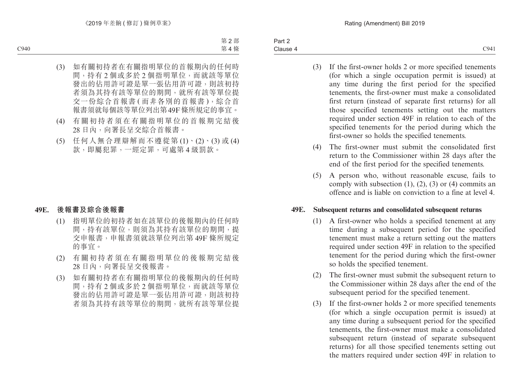Part 2 Clause 4 Clause 4 C941

- (3) If the first-owner holds 2 or more specified tenements (for which a single occupation permit is issued) at any time during the first period for the specified tenements, the first-owner must make a consolidated first return (instead of separate first returns) for all those specified tenements setting out the matters required under section 49F in relation to each of the specified tenements for the period during which the first-owner so holds the specified tenements.
- (4) The first-owner must submit the consolidated first return to the Commissioner within 28 days after the end of the first period for the specified tenements.
- (5) A person who, without reasonable excuse, fails to comply with subsection  $(1)$ ,  $(2)$ ,  $(3)$  or  $(4)$  commits an offence and is liable on conviction to a fine at level 4.

#### **49E. Subsequent returns and consolidated subsequent returns**

- (1) A first-owner who holds a specified tenement at any time during a subsequent period for the specified tenement must make a return setting out the matters required under section 49F in relation to the specified tenement for the period during which the first-owner so holds the specified tenement.
- (2) The first-owner must submit the subsequent return to the Commissioner within 28 days after the end of the subsequent period for the specified tenement.
- (3) If the first-owner holds 2 or more specified tenements (for which a single occupation permit is issued) at any time during a subsequent period for the specified tenements, the first-owner must make a consolidated subsequent return (instead of separate subsequent returns) for all those specified tenements setting out the matters required under section 49F in relation to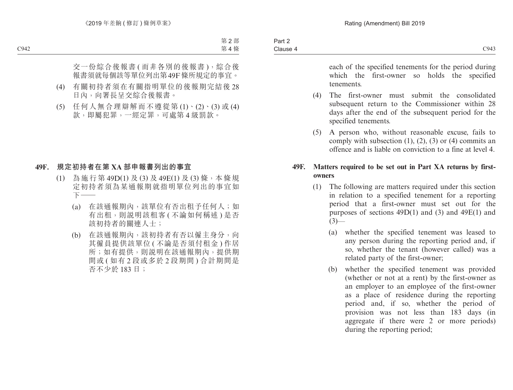| Part 2   |      |
|----------|------|
| Clause 4 | C943 |

each of the specified tenements for the period during which the first-owner so holds the specified tenements.

- (4) The first-owner must submit the consolidated subsequent return to the Commissioner within 28 days after the end of the subsequent period for the specified tenements.
- (5) A person who, without reasonable excuse, fails to comply with subsection  $(1)$ ,  $(2)$ ,  $(3)$  or  $(4)$  commits an offence and is liable on conviction to a fine at level 4.

#### **49F. Matters required to be set out in Part XA returns by firstowners**

- (1) The following are matters required under this section in relation to a specified tenement for a reporting period that a first-owner must set out for the purposes of sections 49D(1) and (3) and 49E(1) and  $(3)$ —
	- (a) whether the specified tenement was leased to any person during the reporting period and, if so, whether the tenant (however called) was a related party of the first-owner;
	- (b) whether the specified tenement was provided (whether or not at a rent) by the first-owner as an employer to an employee of the first-owner as a place of residence during the reporting period and, if so, whether the period of provision was not less than 183 days (in aggregate if there were 2 or more periods) during the reporting period;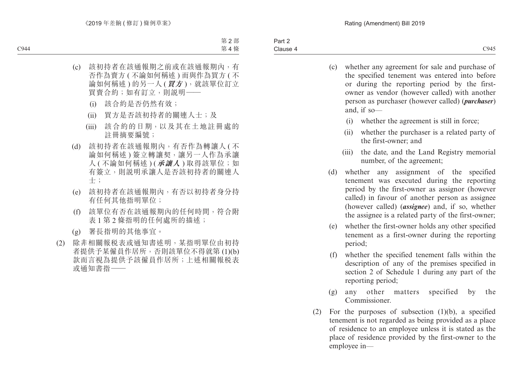- (c) whether any agreement for sale and purchase of the specified tenement was entered into before or during the reporting period by the firstowner as vendor (however called) with another person as purchaser (however called) (*purchaser*) and, if so— (i) whether the agreement is still in force; (ii) whether the purchaser is a related party of the first-owner; and (iii) the date, and the Land Registry memorial number, of the agreement; (d) whether any assignment of the specified tenement was executed during the reporting period by the first-owner as assignor (however called) in favour of another person as assignee (however called) (*assignee*) and, if so, whether the assignee is a related party of the first-owner; (e) whether the first-owner holds any other specified tenement as a first-owner during the reporting
- (f) whether the specified tenement falls within the description of any of the premises specified in section 2 of Schedule 1 during any part of the reporting period;

period;

- (g) any other matters specified by the Commissioner.
- (2) For the purposes of subsection (1)(b), a specified tenement is not regarded as being provided as a place of residence to an employee unless it is stated as the place of residence provided by the first-owner to the employee in—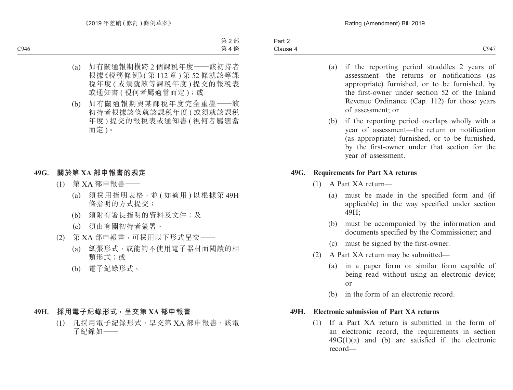- (a) if the reporting period straddles 2 years of assessment—the returns or notifications (as appropriate) furnished, or to be furnished, by the first-owner under section 52 of the Inland Revenue Ordinance (Cap. 112) for those years of assessment; or
- (b) if the reporting period overlaps wholly with a year of assessment—the return or notification (as appropriate) furnished, or to be furnished, by the first-owner under that section for the year of assessment.

#### **49G. Requirements for Part XA returns**

- (1) A Part XA return—
	- (a) must be made in the specified form and (if applicable) in the way specified under section 49H;
	- (b) must be accompanied by the information and documents specified by the Commissioner; and
	- (c) must be signed by the first-owner.
- (2) A Part XA return may be submitted—
	- (a) in a paper form or similar form capable of being read without using an electronic device; or
	- (b) in the form of an electronic record.

#### **49H. Electronic submission of Part XA returns**

(1) If a Part XA return is submitted in the form of an electronic record, the requirements in section 49G(1)(a) and (b) are satisfied if the electronic record—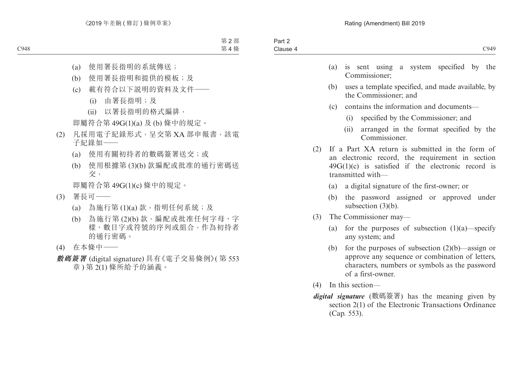- (a) is sent using a system specified by the Commissioner;
- (b) uses a template specified, and made available, by the Commissioner; and
- (c) contains the information and documents—
	- (i) specified by the Commissioner; and
	- (ii) arranged in the format specified by the Commissioner.
- (2) If a Part XA return is submitted in the form of an electronic record, the requirement in section  $49G(1)(c)$  is satisfied if the electronic record is transmitted with—
	- (a) a digital signature of the first-owner; or
	- (b) the password assigned or approved under subsection (3)(b).
- (3) The Commissioner may—
	- (a) for the purposes of subsection  $(1)(a)$ —specify any system; and
	- (b) for the purposes of subsection  $(2)(b)$ —assign or approve any sequence or combination of letters, characters, numbers or symbols as the password of a first-owner.
- (4) In this section—
- *digital signature* (數碼簽署) has the meaning given by section 2(1) of the Electronic Transactions Ordinance (Cap. 553).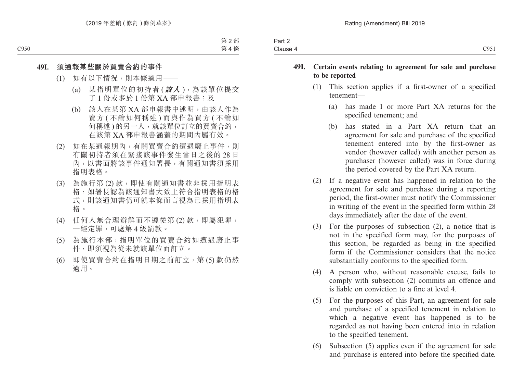| $\sim$<br><b>Dort</b><br><b>Fail</b> |                                              |
|--------------------------------------|----------------------------------------------|
| -<br>Clause 4                        | $\bigcap 051$<br>$\sim$ $\sim$ $\sim$ $\sim$ |

#### **49I. Certain events relating to agreement for sale and purchase to be reported**

- (1) This section applies if a first-owner of a specified tenement—
	- (a) has made 1 or more Part XA returns for the specified tenement; and
	- (b) has stated in a Part XA return that an agreement for sale and purchase of the specified tenement entered into by the first-owner as vendor (however called) with another person as purchaser (however called) was in force during the period covered by the Part XA return.
- (2) If a negative event has happened in relation to the agreement for sale and purchase during a reporting period, the first-owner must notify the Commissioner in writing of the event in the specified form within 28 days immediately after the date of the event.
- (3) For the purposes of subsection (2), a notice that is not in the specified form may, for the purposes of this section, be regarded as being in the specified form if the Commissioner considers that the notice substantially conforms to the specified form.
- (4) A person who, without reasonable excuse, fails to comply with subsection (2) commits an offence and is liable on conviction to a fine at level 4.
- (5) For the purposes of this Part, an agreement for sale and purchase of a specified tenement in relation to which a negative event has happened is to be regarded as not having been entered into in relation to the specified tenement.
- (6) Subsection (5) applies even if the agreement for sale and purchase is entered into before the specified date.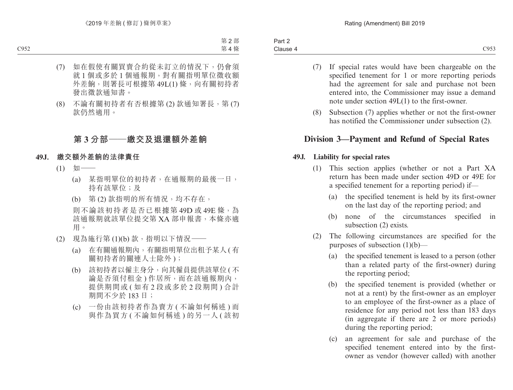- (7) If special rates would have been chargeable on the specified tenement for 1 or more reporting periods had the agreement for sale and purchase not been entered into, the Commissioner may issue a demand note under section 49L(1) to the first-owner.
- (8) Subsection (7) applies whether or not the first-owner has notified the Commissioner under subsection (2).

## **Division 3—Payment and Refund of Special Rates**

#### **49J. Liability for special rates**

- (1) This section applies (whether or not a Part XA return has been made under section 49D or 49E for a specified tenement for a reporting period) if—
	- (a) the specified tenement is held by its first-owner on the last day of the reporting period; and
	- (b) none of the circumstances specified in subsection (2) exists.
- (2) The following circumstances are specified for the purposes of subsection  $(1)(b)$ —
	- (a) the specified tenement is leased to a person (other than a related party of the first-owner) during the reporting period;
	- (b) the specified tenement is provided (whether or not at a rent) by the first-owner as an employer to an employee of the first-owner as a place of residence for any period not less than 183 days (in aggregate if there are 2 or more periods) during the reporting period;
	- (c) an agreement for sale and purchase of the specified tenement entered into by the firstowner as vendor (however called) with another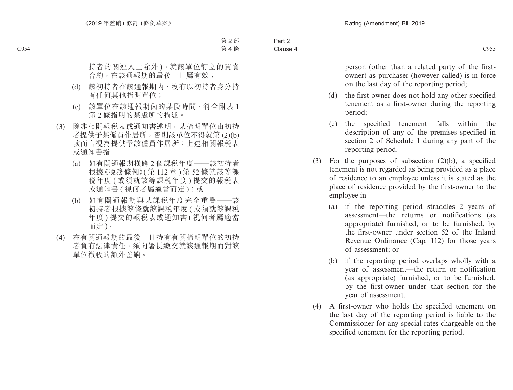person (other than a related party of the firstowner) as purchaser (however called) is in force on the last day of the reporting period;

- (d) the first-owner does not hold any other specified tenement as a first-owner during the reporting period;
- (e) the specified tenement falls within the description of any of the premises specified in section 2 of Schedule 1 during any part of the reporting period.
- (3) For the purposes of subsection (2)(b), a specified tenement is not regarded as being provided as a place of residence to an employee unless it is stated as the place of residence provided by the first-owner to the employee in—
	- (a) if the reporting period straddles 2 years of assessment—the returns or notifications (as appropriate) furnished, or to be furnished, by the first-owner under section 52 of the Inland Revenue Ordinance (Cap. 112) for those years of assessment; or
	- (b) if the reporting period overlaps wholly with a year of assessment—the return or notification (as appropriate) furnished, or to be furnished, by the first-owner under that section for the year of assessment.
- (4) A first-owner who holds the specified tenement on the last day of the reporting period is liable to the Commissioner for any special rates chargeable on the specified tenement for the reporting period.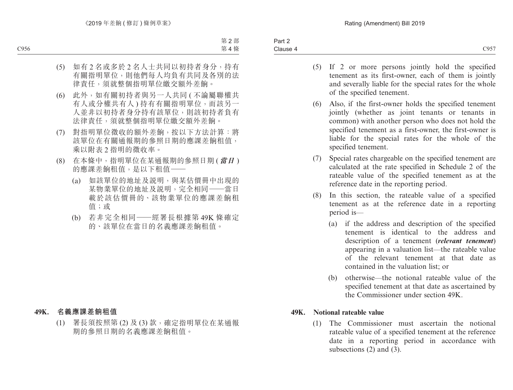- (5) If 2 or more persons jointly hold the specified tenement as its first-owner, each of them is jointly and severally liable for the special rates for the whole of the specified tenement.
- (6) Also, if the first-owner holds the specified tenement jointly (whether as joint tenants or tenants in common) with another person who does not hold the specified tenement as a first-owner, the first-owner is liable for the special rates for the whole of the specified tenement.
- (7) Special rates chargeable on the specified tenement are calculated at the rate specified in Schedule 2 of the rateable value of the specified tenement as at the reference date in the reporting period.
- (8) In this section, the rateable value of a specified tenement as at the reference date in a reporting period is—
	- (a) if the address and description of the specified tenement is identical to the address and description of a tenement (*relevant tenement*) appearing in a valuation list—the rateable value of the relevant tenement at that date as contained in the valuation list; or
	- (b) otherwise—the notional rateable value of the specified tenement at that date as ascertained by the Commissioner under section 49K.

#### **49K. Notional rateable value**

(1) The Commissioner must ascertain the notional rateable value of a specified tenement at the reference date in a reporting period in accordance with subsections (2) and (3).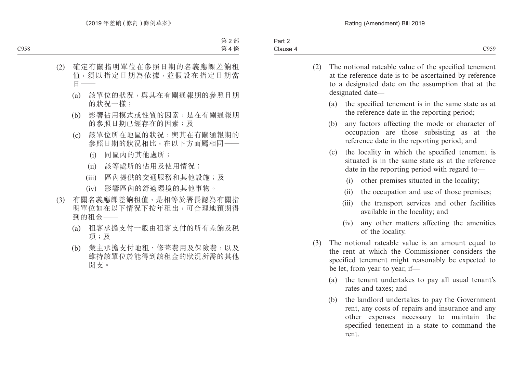| Part 2   |                 |
|----------|-----------------|
| Clause 4 | 0.959<br>$\cup$ |

- (2) The notional rateable value of the specified tenement at the reference date is to be ascertained by reference to a designated date on the assumption that at the designated date—
	- (a) the specified tenement is in the same state as at the reference date in the reporting period;
	- (b) any factors affecting the mode or character of occupation are those subsisting as at the reference date in the reporting period; and
	- (c) the locality in which the specified tenement is situated is in the same state as at the reference date in the reporting period with regard to—
		- (i) other premises situated in the locality;
		- (ii) the occupation and use of those premises;
		- (iii) the transport services and other facilities available in the locality; and
		- (iv) any other matters affecting the amenities of the locality.
- (3) The notional rateable value is an amount equal to the rent at which the Commissioner considers the specified tenement might reasonably be expected to be let, from year to year, if—
	- (a) the tenant undertakes to pay all usual tenant's rates and taxes; and
	- (b) the landlord undertakes to pay the Government rent, any costs of repairs and insurance and any other expenses necessary to maintain the specified tenement in a state to command the rent.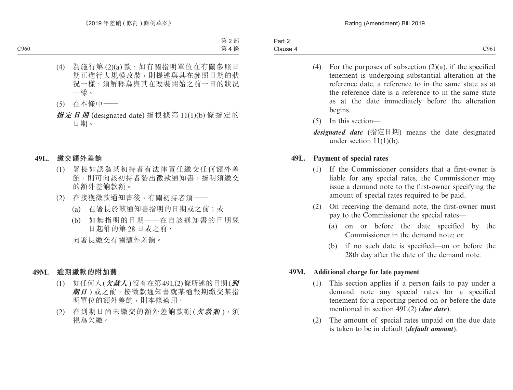- (4) For the purposes of subsection  $(2)(a)$ , if the specified tenement is undergoing substantial alteration at the reference date, a reference to in the same state as at the reference date is a reference to in the same state as at the date immediately before the alteration begins.
- (5) In this section—
- *designated date* (指定日期) means the date designated under section 11(1)(b).

#### **49L. Payment of special rates**

- (1) If the Commissioner considers that a first-owner is liable for any special rates, the Commissioner may issue a demand note to the first-owner specifying the amount of special rates required to be paid.
- (2) On receiving the demand note, the first-owner must pay to the Commissioner the special rates—
	- (a) on or before the date specified by the Commissioner in the demand note; or
	- (b) if no such date is specified—on or before the 28th day after the date of the demand note.

#### **49M. Additional charge for late payment**

- (1) This section applies if a person fails to pay under a demand note any special rates for a specified tenement for a reporting period on or before the date mentioned in section 49L(2) (*due date*).
- (2) The amount of special rates unpaid on the due date is taken to be in default (*default amount*).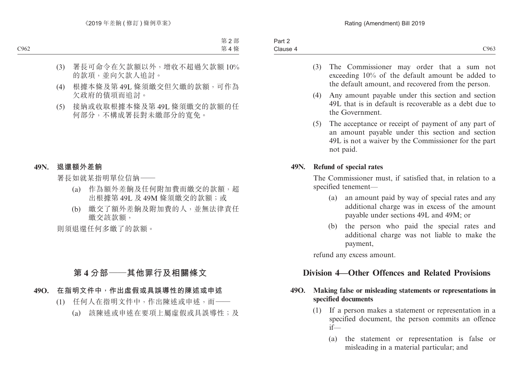- (3) The Commissioner may order that a sum not exceeding 10% of the default amount be added to the default amount, and recovered from the person.
- (4) Any amount payable under this section and section 49L that is in default is recoverable as a debt due to the Government.
- (5) The acceptance or receipt of payment of any part of an amount payable under this section and section 49L is not a waiver by the Commissioner for the part not paid.

#### **49N. Refund of special rates**

The Commissioner must, if satisfied that, in relation to a specified tenement—

- (a) an amount paid by way of special rates and any additional charge was in excess of the amount payable under sections 49L and 49M; or
- (b) the person who paid the special rates and additional charge was not liable to make the payment,

refund any excess amount.

## **Division 4—Other Offences and Related Provisions**

#### **49O. Making false or misleading statements or representations in specified documents**

- (1) If a person makes a statement or representation in a specified document, the person commits an offence if—
	- (a) the statement or representation is false or misleading in a material particular; and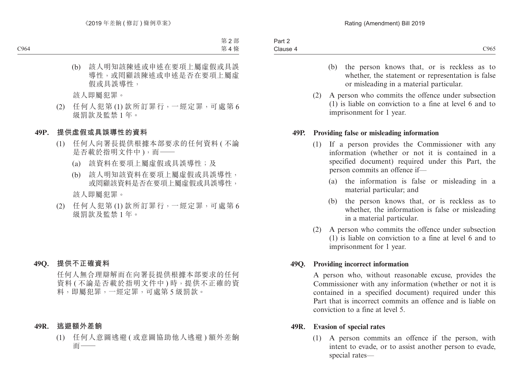- (b) the person knows that, or is reckless as to whether, the statement or representation is false or misleading in a material particular.
- (2) A person who commits the offence under subsection (1) is liable on conviction to a fine at level 6 and to imprisonment for 1 year.

#### **49P. Providing false or misleading information**

- (1) If a person provides the Commissioner with any information (whether or not it is contained in a specified document) required under this Part, the person commits an offence if—
	- (a) the information is false or misleading in a material particular; and
	- (b) the person knows that, or is reckless as to whether, the information is false or misleading in a material particular.
- (2) A person who commits the offence under subsection (1) is liable on conviction to a fine at level 6 and to imprisonment for 1 year.

#### **49Q. Providing incorrect information**

A person who, without reasonable excuse, provides the Commissioner with any information (whether or not it is contained in a specified document) required under this Part that is incorrect commits an offence and is liable on conviction to a fine at level 5.

#### **49R. Evasion of special rates**

(1) A person commits an offence if the person, with intent to evade, or to assist another person to evade, special rates—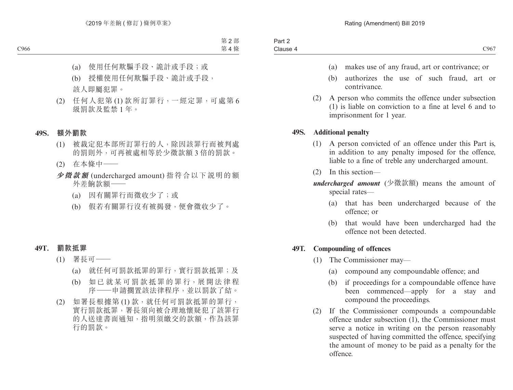- (a) makes use of any fraud, art or contrivance; or
- (b) authorizes the use of such fraud, art or contrivance.
- (2) A person who commits the offence under subsection (1) is liable on conviction to a fine at level 6 and to imprisonment for 1 year.

#### **49S. Additional penalty**

- (1) A person convicted of an offence under this Part is, in addition to any penalty imposed for the offence, liable to a fine of treble any undercharged amount.
- (2) In this section—
- *undercharged amount* (少徵款額) means the amount of special rates—
	- (a) that has been undercharged because of the offence; or
	- (b) that would have been undercharged had the offence not been detected.

#### **49T. Compounding of offences**

- (1) The Commissioner may—
	- (a) compound any compoundable offence; and
	- (b) if proceedings for a compoundable offence have been commenced—apply for a stay and compound the proceedings.
- (2) If the Commissioner compounds a compoundable offence under subsection (1), the Commissioner must serve a notice in writing on the person reasonably suspected of having committed the offence, specifying the amount of money to be paid as a penalty for the offence.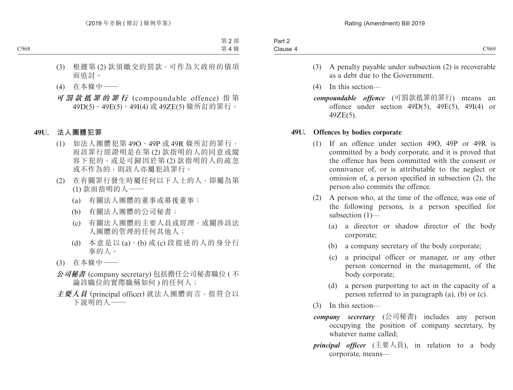| Clause 4 | Part 2 |      |
|----------|--------|------|
|          |        | C969 |

- (3) A penalty payable under subsection (2) is recoverable as a debt due to the Government.
- (4) In this section—
- *compoundable offence* (可罰款抵罪的罪行) means an offence under section 49D(5), 49E(5), 49I(4) or 49ZE(5).

#### **49U. Offences by bodies corporate**

- (1) If an offence under section 49O, 49P or 49R is committed by a body corporate, and it is proved that the offence has been committed with the consent or connivance of, or is attributable to the neglect or omission of, a person specified in subsection (2), the person also commits the offence.
- (2) A person who, at the time of the offence, was one of the following persons, is a person specified for subsection (1)—
	- (a) a director or shadow director of the body corporate;
	- (b) a company secretary of the body corporate;
	- (c) a principal officer or manager, or any other person concerned in the management, of the body corporate;
	- (d) a person purporting to act in the capacity of a person referred to in paragraph (a), (b) or (c).
- (3) In this section—
- *company secretary* (公司秘書) includes any person occupying the position of company secretary, by whatever name called;
- *principal officer* (主要人員), in relation to a body corporate, means—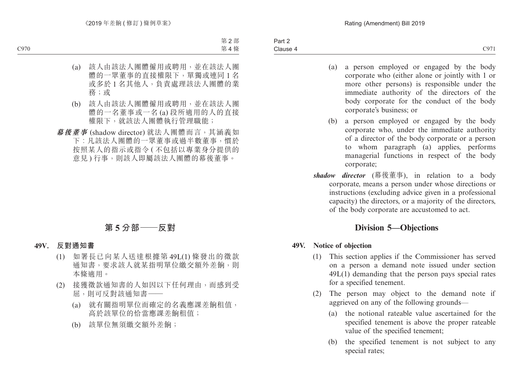- (a) a person employed or engaged by the body corporate who (either alone or jointly with 1 or more other persons) is responsible under the immediate authority of the directors of the body corporate for the conduct of the body corporate's business; or
- (b) a person employed or engaged by the body corporate who, under the immediate authority of a director of the body corporate or a person to whom paragraph (a) applies, performs managerial functions in respect of the body corporate;
- *shadow director* (幕後董事), in relation to a body corporate, means a person under whose directions or instructions (excluding advice given in a professional capacity) the directors, or a majority of the directors, of the body corporate are accustomed to act.

## **Division 5—Objections**

#### **49V. Notice of objection**

- (1) This section applies if the Commissioner has served on a person a demand note issued under section 49L(1) demanding that the person pays special rates for a specified tenement.
- (2) The person may object to the demand note if aggrieved on any of the following grounds—
	- (a) the notional rateable value ascertained for the specified tenement is above the proper rateable value of the specified tenement;
	- (b) the specified tenement is not subject to any special rates;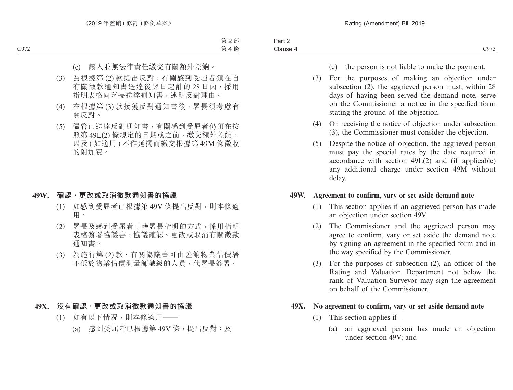- (c) the person is not liable to make the payment.
- (3) For the purposes of making an objection under subsection (2), the aggrieved person must, within 28 days of having been served the demand note, serve on the Commissioner a notice in the specified form stating the ground of the objection.
- (4) On receiving the notice of objection under subsection (3), the Commissioner must consider the objection.
- (5) Despite the notice of objection, the aggrieved person must pay the special rates by the date required in accordance with section 49L(2) and (if applicable) any additional charge under section 49M without delay.

#### **49W. Agreement to confirm, vary or set aside demand note**

- (1) This section applies if an aggrieved person has made an objection under section 49V.
- (2) The Commissioner and the aggrieved person may agree to confirm, vary or set aside the demand note by signing an agreement in the specified form and in the way specified by the Commissioner.
- (3) For the purposes of subsection (2), an officer of the Rating and Valuation Department not below the rank of Valuation Surveyor may sign the agreement on behalf of the Commissioner.

#### **49X. No agreement to confirm, vary or set aside demand note**

- (1) This section applies if—
	- (a) an aggrieved person has made an objection under section 49V; and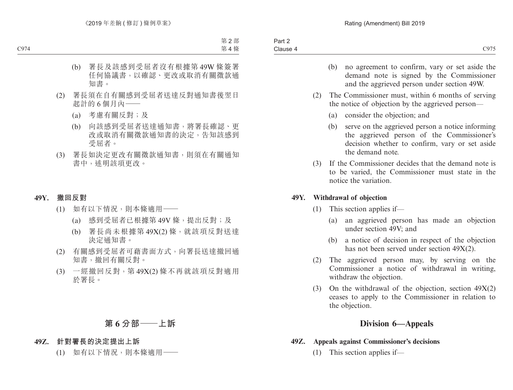- (b) no agreement to confirm, vary or set aside the demand note is signed by the Commissioner and the aggrieved person under section 49W.
- (2) The Commissioner must, within 6 months of serving the notice of objection by the aggrieved person—
	- (a) consider the objection; and
	- (b) serve on the aggrieved person a notice informing the aggrieved person of the Commissioner's decision whether to confirm, vary or set aside the demand note.
- (3) If the Commissioner decides that the demand note is to be varied, the Commissioner must state in the notice the variation.

#### **49Y. Withdrawal of objection**

- (1) This section applies if—
	- (a) an aggrieved person has made an objection under section 49V; and
	- (b) a notice of decision in respect of the objection has not been served under section 49X(2).
- (2) The aggrieved person may, by serving on the Commissioner a notice of withdrawal in writing, withdraw the objection.
- (3) On the withdrawal of the objection, section  $49X(2)$ ceases to apply to the Commissioner in relation to the objection.

## **Division 6—Appeals**

#### **49Z. Appeals against Commissioner's decisions**

(1) This section applies if—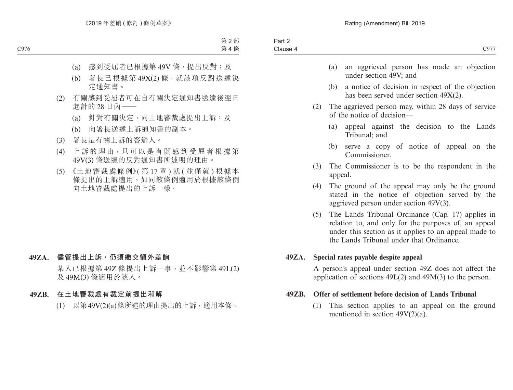- (a) an aggrieved person has made an objection under section 49V; and
- (b) a notice of decision in respect of the objection has been served under section 49X(2).
- (2) The aggrieved person may, within 28 days of service of the notice of decision—
	- (a) appeal against the decision to the Lands Tribunal; and
	- (b) serve a copy of notice of appeal on the Commissioner.
- (3) The Commissioner is to be the respondent in the appeal.
- (4) The ground of the appeal may only be the ground stated in the notice of objection served by the aggrieved person under section 49V(3).
- (5) The Lands Tribunal Ordinance (Cap. 17) applies in relation to, and only for the purposes of, an appeal under this section as it applies to an appeal made to the Lands Tribunal under that Ordinance.

#### **49ZA. Special rates payable despite appeal**

A person's appeal under section 49Z does not affect the application of sections 49L(2) and 49M(3) to the person.

#### **49ZB. Offer of settlement before decision of Lands Tribunal**

(1) This section applies to an appeal on the ground mentioned in section 49V(2)(a).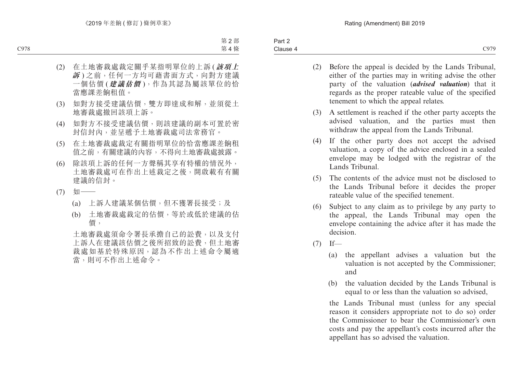tenement to which the appeal relates.

- (2) Before the appeal is decided by the Lands Tribunal, either of the parties may in writing advise the other party of the valuation (*advised valuation*) that it regards as the proper rateable value of the specified
- (3) A settlement is reached if the other party accepts the advised valuation, and the parties must then withdraw the appeal from the Lands Tribunal.
- (4) If the other party does not accept the advised valuation, a copy of the advice enclosed in a sealed envelope may be lodged with the registrar of the Lands Tribunal.
- (5) The contents of the advice must not be disclosed to the Lands Tribunal before it decides the proper rateable value of the specified tenement.
- (6) Subject to any claim as to privilege by any party to the appeal, the Lands Tribunal may open the envelope containing the advice after it has made the decision.
- $(7)$  If—
	- (a) the appellant advises a valuation but the valuation is not accepted by the Commissioner; and
	- (b) the valuation decided by the Lands Tribunal is equal to or less than the valuation so advised,

the Lands Tribunal must (unless for any special reason it considers appropriate not to do so) order the Commissioner to bear the Commissioner's own costs and pay the appellant's costs incurred after the appellant has so advised the valuation.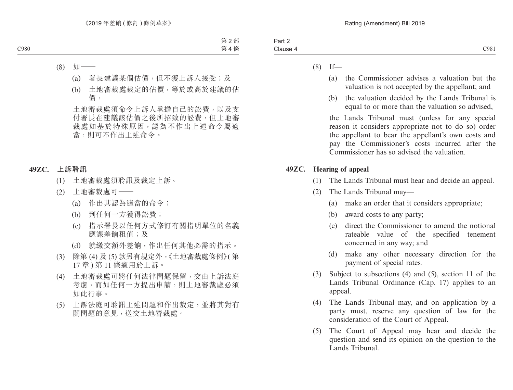- $(8)$  If—
	- (a) the Commissioner advises a valuation but the valuation is not accepted by the appellant; and
	- (b) the valuation decided by the Lands Tribunal is equal to or more than the valuation so advised,

the Lands Tribunal must (unless for any special reason it considers appropriate not to do so) order the appellant to bear the appellant's own costs and pay the Commissioner's costs incurred after the Commissioner has so advised the valuation.

#### **49ZC. Hearing of appeal**

- (1) The Lands Tribunal must hear and decide an appeal.
- (2) The Lands Tribunal may—
	- (a) make an order that it considers appropriate;
	- (b) award costs to any party;
	- (c) direct the Commissioner to amend the notional rateable value of the specified tenement concerned in any way; and
	- (d) make any other necessary direction for the payment of special rates.
- (3) Subject to subsections (4) and (5), section 11 of the Lands Tribunal Ordinance (Cap. 17) applies to an appeal.
- (4) The Lands Tribunal may, and on application by a party must, reserve any question of law for the consideration of the Court of Appeal.
- (5) The Court of Appeal may hear and decide the question and send its opinion on the question to the Lands Tribunal.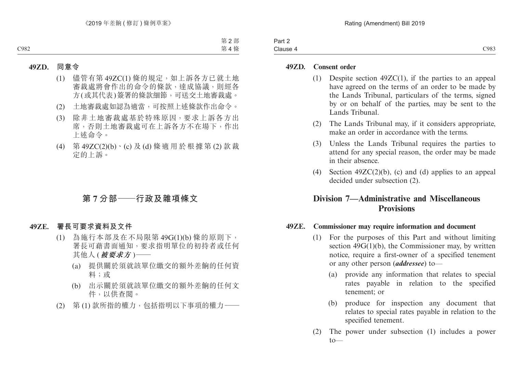| Part 2   |      |
|----------|------|
| Clause 4 | C983 |

#### **49ZD. Consent order**

- (1) Despite section 49ZC(1), if the parties to an appeal have agreed on the terms of an order to be made by the Lands Tribunal, particulars of the terms, signed by or on behalf of the parties, may be sent to the Lands Tribunal.
- (2) The Lands Tribunal may, if it considers appropriate, make an order in accordance with the terms.
- (3) Unless the Lands Tribunal requires the parties to attend for any special reason, the order may be made in their absence.
- (4) Section  $49ZC(2)(b)$ , (c) and (d) applies to an appeal decided under subsection (2).

## **Division 7—Administrative and Miscellaneous Provisions**

#### **49ZE. Commissioner may require information and document**

- (1) For the purposes of this Part and without limiting section  $49G(1)(b)$ , the Commissioner may, by written notice, require a first-owner of a specified tenement or any other person (*addressee*) to—
	- (a) provide any information that relates to special rates payable in relation to the specified tenement; or
	- (b) produce for inspection any document that relates to special rates payable in relation to the specified tenement.
- (2) The power under subsection (1) includes a power  $to$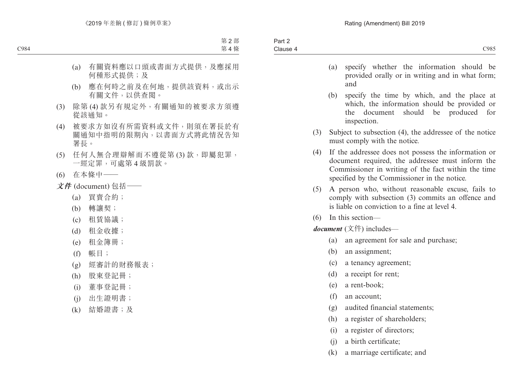- (a) specify whether the information should be provided orally or in writing and in what form; and
- (b) specify the time by which, and the place at which, the information should be provided or the document should be produced for inspection.
- (3) Subject to subsection (4), the addressee of the notice must comply with the notice.
- (4) If the addressee does not possess the information or document required, the addressee must inform the Commissioner in writing of the fact within the time specified by the Commissioner in the notice.
- (5) A person who, without reasonable excuse, fails to comply with subsection (3) commits an offence and is liable on conviction to a fine at level 4.
- (6) In this section—

*document* (文件) includes—

- (a) an agreement for sale and purchase;
- (b) an assignment;
- (c) a tenancy agreement;
- (d) a receipt for rent;
- (e) a rent-book;
- (f) an account;
- (g) audited financial statements;
- (h) a register of shareholders;
- (i) a register of directors;
- (j) a birth certificate;
- (k) a marriage certificate; and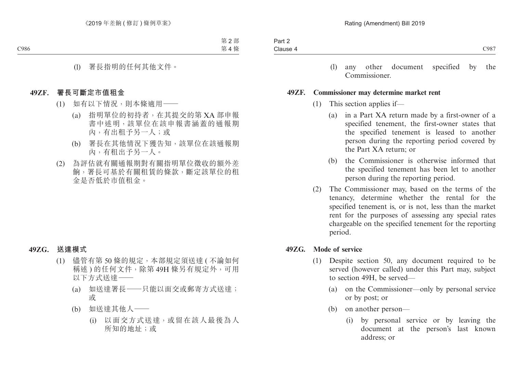| Part $\angle$ |               |
|---------------|---------------|
| Clause 4      | C987<br>- - - |
|               |               |

(l) any other document specified by the Commissioner.

#### **49ZF. Commissioner may determine market rent**

- (1) This section applies if—
	- (a) in a Part XA return made by a first-owner of a specified tenement, the first-owner states that the specified tenement is leased to another person during the reporting period covered by the Part XA return; or
	- (b) the Commissioner is otherwise informed that the specified tenement has been let to another person during the reporting period.
- (2) The Commissioner may, based on the terms of the tenancy, determine whether the rental for the specified tenement is, or is not, less than the market rent for the purposes of assessing any special rates chargeable on the specified tenement for the reporting period.

#### **49ZG. Mode of service**

- (1) Despite section 50, any document required to be served (however called) under this Part may, subject to section 49H, be served—
	- (a) on the Commissioner—only by personal service or by post; or
	- (b) on another person—
		- (i) by personal service or by leaving the document at the person's last known address; or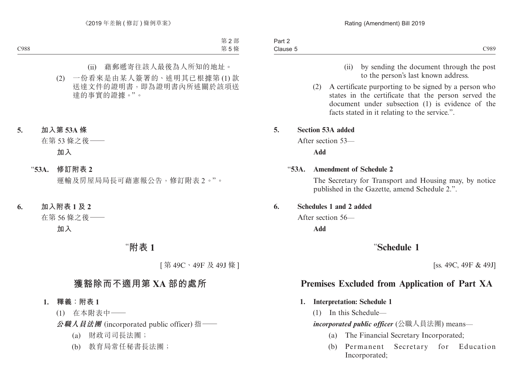- (ii) by sending the document through the post to the person's last known address.
- (2) A certificate purporting to be signed by a person who states in the certificate that the person served the document under subsection (1) is evidence of the facts stated in it relating to the service.".

#### **5. Section 53A added**

After section 53—

**Add**

#### "**53A. Amendment of Schedule 2**

The Secretary for Transport and Housing may, by notice published in the Gazette, amend Schedule 2.".

#### **6. Schedules 1 and 2 added**

After section 56—

**Add**

## "**Schedule 1**

[ss. 49C, 49F & 49J]

## **Premises Excluded from Application of Part XA**

#### **1. Interpretation: Schedule 1**

(1) In this Schedule—

*incorporated public officer* (公職人員法團) means—

- (a) The Financial Secretary Incorporated;
- (b) Permanent Secretary for Education Incorporated;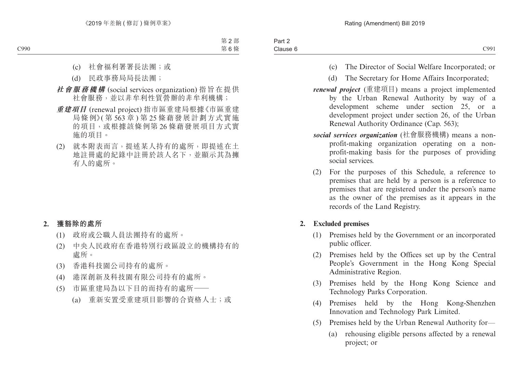- (c) The Director of Social Welfare Incorporated; or
- (d) The Secretary for Home Affairs Incorporated;
- *renewal project* (重建項目) means a project implemented by the Urban Renewal Authority by way of a development scheme under section 25, or a development project under section 26, of the Urban Renewal Authority Ordinance (Cap. 563);
- *social services organization* (社會服務機構) means a nonprofit-making organization operating on a nonprofit-making basis for the purposes of providing social services.
- (2) For the purposes of this Schedule, a reference to premises that are held by a person is a reference to premises that are registered under the person's name as the owner of the premises as it appears in the records of the Land Registry.

#### **2. Excluded premises**

- (1) Premises held by the Government or an incorporated public officer.
- (2) Premises held by the Offices set up by the Central People's Government in the Hong Kong Special Administrative Region.
- (3) Premises held by the Hong Kong Science and Technology Parks Corporation.
- (4) Premises held by the Hong Kong-Shenzhen Innovation and Technology Park Limited.
- (5) Premises held by the Urban Renewal Authority for—
	- (a) rehousing eligible persons affected by a renewal project; or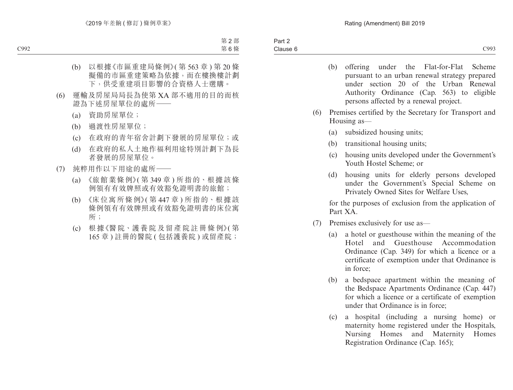- (b) offering under the Flat-for-Flat Scheme pursuant to an urban renewal strategy prepared under section 20 of the Urban Renewal Authority Ordinance (Cap. 563) to eligible persons affected by a renewal project.
- (6) Premises certified by the Secretary for Transport and Housing as—
	- (a) subsidized housing units;
	- (b) transitional housing units;
	- (c) housing units developed under the Government's Youth Hostel Scheme; or
	- (d) housing units for elderly persons developed under the Government's Special Scheme on Privately Owned Sites for Welfare Uses,

for the purposes of exclusion from the application of Part XA.

- (7) Premises exclusively for use as—
	- (a) a hotel or guesthouse within the meaning of the Hotel and Guesthouse Accommodation Ordinance (Cap. 349) for which a licence or a certificate of exemption under that Ordinance is in force;
	- (b) a bedspace apartment within the meaning of the Bedspace Apartments Ordinance (Cap. 447) for which a licence or a certificate of exemption under that Ordinance is in force;
	- (c) a hospital (including a nursing home) or maternity home registered under the Hospitals, Nursing Homes and Maternity Homes Registration Ordinance (Cap. 165);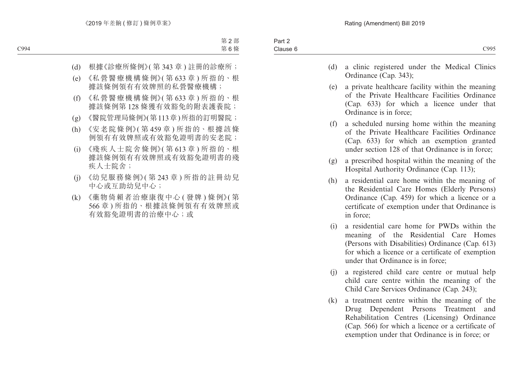| Part $\sim$ |      |
|-------------|------|
| Clause      | C995 |

- (d) a clinic registered under the Medical Clinics Ordinance (Cap. 343);
- (e) a private healthcare facility within the meaning of the Private Healthcare Facilities Ordinance (Cap. 633) for which a licence under that Ordinance is in force;
- (f) a scheduled nursing home within the meaning of the Private Healthcare Facilities Ordinance (Cap. 633) for which an exemption granted under section 128 of that Ordinance is in force;
- (g) a prescribed hospital within the meaning of the Hospital Authority Ordinance (Cap. 113);
- (h) a residential care home within the meaning of the Residential Care Homes (Elderly Persons) Ordinance (Cap. 459) for which a licence or a certificate of exemption under that Ordinance is in force;
- (i) a residential care home for PWDs within the meaning of the Residential Care Homes (Persons with Disabilities) Ordinance (Cap. 613) for which a licence or a certificate of exemption under that Ordinance is in force;
- (j) a registered child care centre or mutual help child care centre within the meaning of the Child Care Services Ordinance (Cap. 243);
- (k) a treatment centre within the meaning of the Drug Dependent Persons Treatment and Rehabilitation Centres (Licensing) Ordinance (Cap. 566) for which a licence or a certificate of exemption under that Ordinance is in force; or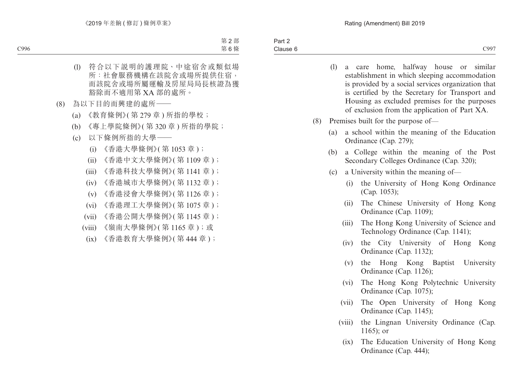- (l) a care home, halfway house or similar establishment in which sleeping accommodation is provided by a social services organization that is certified by the Secretary for Transport and Housing as excluded premises for the purposes of exclusion from the application of Part XA.
- (8) Premises built for the purpose of—
	- (a) a school within the meaning of the Education Ordinance (Cap. 279);
	- (b) a College within the meaning of the Post Secondary Colleges Ordinance (Cap. 320);
	- (c) a University within the meaning of—
		- (i) the University of Hong Kong Ordinance (Cap. 1053);
		- (ii) The Chinese University of Hong Kong Ordinance (Cap. 1109);
		- (iii) The Hong Kong University of Science and Technology Ordinance (Cap. 1141);
		- (iv) the City University of Hong Kong Ordinance (Cap. 1132);
		- (v) the Hong Kong Baptist University Ordinance (Cap. 1126);
		- (vi) The Hong Kong Polytechnic University Ordinance (Cap. 1075);
		- (vii) The Open University of Hong Kong Ordinance (Cap. 1145);
		- (viii) the Lingnan University Ordinance (Cap. 1165); or
			- (ix) The Education University of Hong Kong Ordinance (Cap. 444);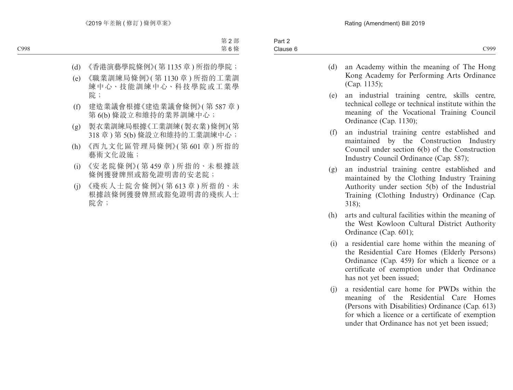- (d) an Academy within the meaning of The Hong Kong Academy for Performing Arts Ordinance (Cap. 1135);
- (e) an industrial training centre, skills centre, technical college or technical institute within the meaning of the Vocational Training Council Ordinance (Cap. 1130);
- (f) an industrial training centre established and maintained by the Construction Industry Council under section 6(b) of the Construction Industry Council Ordinance (Cap. 587);
- (g) an industrial training centre established and maintained by the Clothing Industry Training Authority under section 5(b) of the Industrial Training (Clothing Industry) Ordinance (Cap. 318);
- (h) arts and cultural facilities within the meaning of the West Kowloon Cultural District Authority Ordinance (Cap. 601);
- (i) a residential care home within the meaning of the Residential Care Homes (Elderly Persons) Ordinance (Cap. 459) for which a licence or a certificate of exemption under that Ordinance has not yet been issued;
- (j) a residential care home for PWDs within the meaning of the Residential Care Homes (Persons with Disabilities) Ordinance (Cap. 613) for which a licence or a certificate of exemption under that Ordinance has not yet been issued;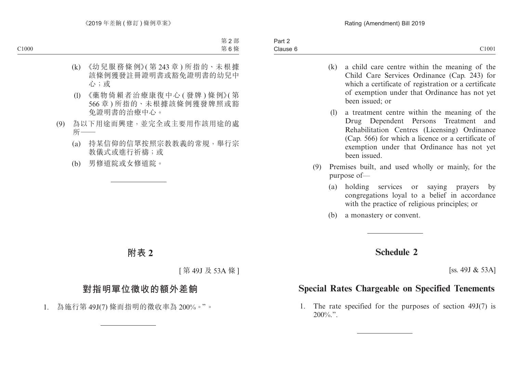- (k) a child care centre within the meaning of the Child Care Services Ordinance (Cap. 243) for which a certificate of registration or a certificate of exemption under that Ordinance has not yet been issued; or
- (l) a treatment centre within the meaning of the Drug Dependent Persons Treatment and Rehabilitation Centres (Licensing) Ordinance (Cap. 566) for which a licence or a certificate of exemption under that Ordinance has not yet been issued.
- (9) Premises built, and used wholly or mainly, for the purpose of—
	- (a) holding services or saying prayers by congregations loyal to a belief in accordance with the practice of religious principles; or
	- (b) a monastery or convent.

## **Schedule 2**

[ss. 49J & 53A]

## **Special Rates Chargeable on Specified Tenements**

1. The rate specified for the purposes of section 49J(7) is  $200\%$ .".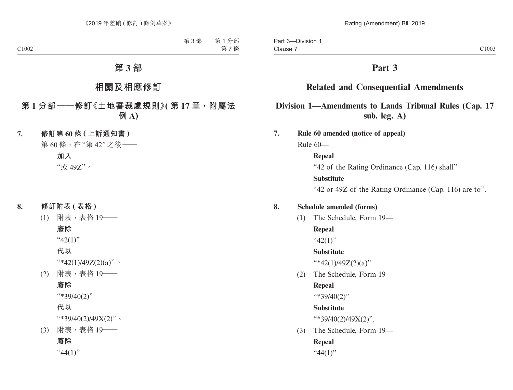## **Part 3**

## **Related and Consequential Amendments**

## **Division 1—Amendments to Lands Tribunal Rules (Cap. 17 sub. leg. A)**

**7. Rule 60 amended (notice of appeal)**

Rule 60—

#### **Repeal**

"42 of the Rating Ordinance (Cap. 116) shall"

#### **Substitute**

"42 or 49Z of the Rating Ordinance (Cap. 116) are to".

#### **8. Schedule amended (forms)**

- (1) The Schedule, Form 19—
	- **Repeal** " $42(1)$ " **Substitute** "\*42(1)/49Z(2)(a)".
- (2) The Schedule, Form 19— **Repeal**

"\*39/40(2)"

#### **Substitute**

"\*39/40(2)/49X(2)".

(3) The Schedule, Form 19— **Repeal**  $``44(1)"$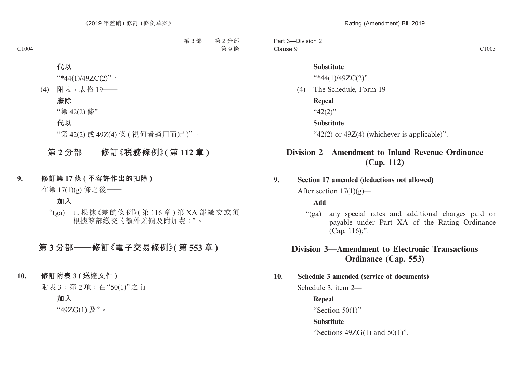Part 3—Division 2 Clause 9  $C1005$  Clause 9

#### **Substitute**

"\*44(1)/49ZC(2)".

(4) The Schedule, Form 19—

**Repeal** " $42(2)$ "

**Substitute**

" $42(2)$  or  $49Z(4)$  (whichever is applicable)".

## **Division 2—Amendment to Inland Revenue Ordinance (Cap. 112)**

#### **9. Section 17 amended (deductions not allowed)**

After section  $17(1)(g)$ —

**Add**

"(ga) any special rates and additional charges paid or payable under Part XA of the Rating Ordinance (Cap. 116);".

## **Division 3—Amendment to Electronic Transactions Ordinance (Cap. 553)**

#### **10. Schedule 3 amended (service of documents)**

Schedule 3, item 2—

**Repeal**

"Section 50(1)"

**Substitute**

"Sections  $49ZG(1)$  and  $50(1)$ ".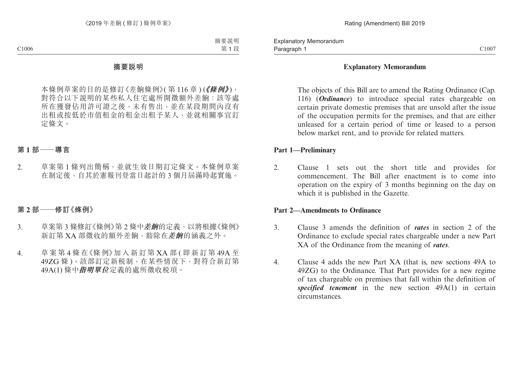#### **Explanatory Memorandum**

The objects of this Bill are to amend the Rating Ordinance (Cap. 116) (*Ordinance*) to introduce special rates chargeable on certain private domestic premises that are unsold after the issue of the occupation permits for the premises, and that are either unleased for a certain period of time or leased to a person below market rent, and to provide for related matters.

#### **Part 1—Preliminary**

2. Clause 1 sets out the short title and provides for commencement. The Bill after enactment is to come into operation on the expiry of 3 months beginning on the day on which it is published in the Gazette.

#### **Part 2—Amendments to Ordinance**

- 3. Clause 3 amends the definition of *rates* in section 2 of the Ordinance to exclude special rates chargeable under a new Part XA of the Ordinance from the meaning of *rates*.
- 4. Clause 4 adds the new Part XA (that is, new sections 49A to 49ZG) to the Ordinance. That Part provides for a new regime of tax chargeable on premises that fall within the definition of *specified tenement* in the new section 49A(1) in certain circumstances.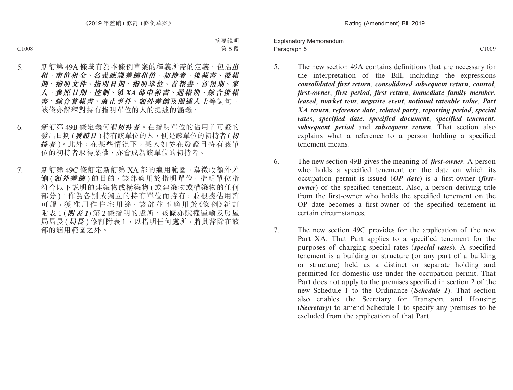- 
- 5. The new section 49A contains definitions that are necessary for the interpretation of the Bill, including the expressions *consolidated first return*, *consolidated subsequent return*, *control*, *first-owner*, *first period*, *first return*, *immediate family member*, *leased*, *market rent*, *negative event*, *notional rateable value*, *Part XA return*, *reference date*, *related party*, *reporting period*, *special rates*, *specified date*, *specified document*, *specified tenement*, *subsequent period* and *subsequent return*. That section also explains what a reference to a person holding a specified tenement means.
- 6. The new section 49B gives the meaning of *first-owner*. A person who holds a specified tenement on the date on which its occupation permit is issued (*OP date*) is a first-owner (*firstowner*) of the specified tenement. Also, a person deriving title from the first-owner who holds the specified tenement on the OP date becomes a first-owner of the specified tenement in certain circumstances.
- 7. The new section 49C provides for the application of the new Part XA. That Part applies to a specified tenement for the purposes of charging special rates (*special rates*). A specified tenement is a building or structure (or any part of a building or structure) held as a distinct or separate holding and permitted for domestic use under the occupation permit. That Part does not apply to the premises specified in section 2 of the new Schedule 1 to the Ordinance (*Schedule 1*). That section also enables the Secretary for Transport and Housing (*Secretary*) to amend Schedule 1 to specify any premises to be excluded from the application of that Part.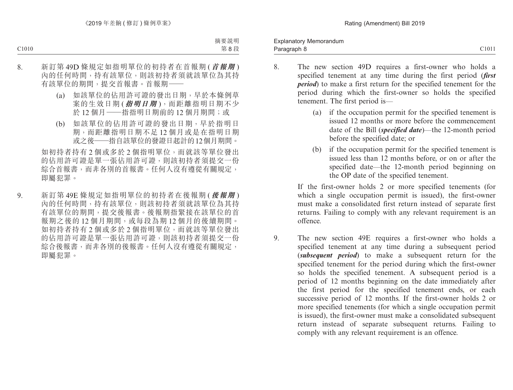- 8. The new section 49D requires a first-owner who holds a specified tenement at any time during the first period (*first period*) to make a first return for the specified tenement for the period during which the first-owner so holds the specified tenement. The first period is—
	- (a) if the occupation permit for the specified tenement is issued 12 months or more before the commencement date of the Bill (*specified date*)—the 12-month period before the specified date; or
	- (b) if the occupation permit for the specified tenement is issued less than 12 months before, or on or after the specified date—the 12-month period beginning on the OP date of the specified tenement.

If the first-owner holds 2 or more specified tenements (for which a single occupation permit is issued), the first-owner must make a consolidated first return instead of separate first returns. Failing to comply with any relevant requirement is an offence.

9. The new section 49E requires a first-owner who holds a specified tenement at any time during a subsequent period (*subsequent period*) to make a subsequent return for the specified tenement for the period during which the first-owner so holds the specified tenement. A subsequent period is a period of 12 months beginning on the date immediately after the first period for the specified tenement ends, or each successive period of 12 months. If the first-owner holds 2 or more specified tenements (for which a single occupation permit is issued), the first-owner must make a consolidated subsequent return instead of separate subsequent returns. Failing to comply with any relevant requirement is an offence.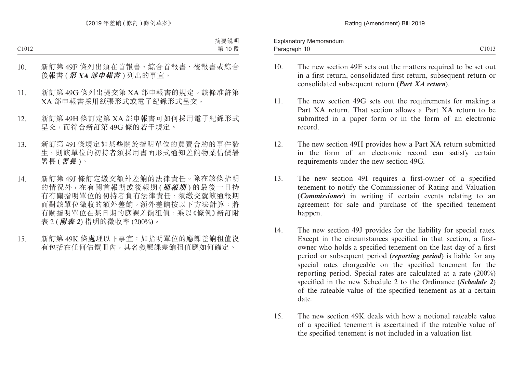- 10. The new section 49F sets out the matters required to be set out in a first return, consolidated first return, subsequent return or consolidated subsequent return (*Part XA return*).
- 11. The new section 49G sets out the requirements for making a Part XA return. That section allows a Part XA return to be submitted in a paper form or in the form of an electronic record.
- 12. The new section 49H provides how a Part XA return submitted in the form of an electronic record can satisfy certain requirements under the new section 49G.
- 13. The new section 49I requires a first-owner of a specified tenement to notify the Commissioner of Rating and Valuation (*Commissioner*) in writing if certain events relating to an agreement for sale and purchase of the specified tenement happen.
- 14. The new section 49J provides for the liability for special rates. Except in the circumstances specified in that section, a firstowner who holds a specified tenement on the last day of a first period or subsequent period (*reporting period*) is liable for any special rates chargeable on the specified tenement for the reporting period. Special rates are calculated at a rate (200%) specified in the new Schedule 2 to the Ordinance (*Schedule 2*) of the rateable value of the specified tenement as at a certain date.
- 15. The new section 49K deals with how a notional rateable value of a specified tenement is ascertained if the rateable value of the specified tenement is not included in a valuation list.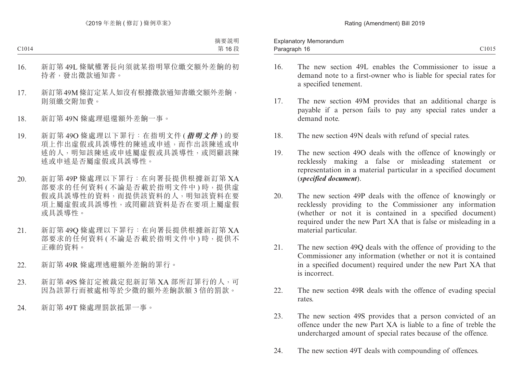- 16. The new section 49L enables the Commissioner to issue a demand note to a first-owner who is liable for special rates for a specified tenement.
- 17. The new section 49M provides that an additional charge is payable if a person fails to pay any special rates under a demand note.
- 18. The new section 49N deals with refund of special rates.
- 19. The new section 49O deals with the offence of knowingly or recklessly making a false or misleading statement or representation in a material particular in a specified document (*specified document*).
- 20. The new section 49P deals with the offence of knowingly or recklessly providing to the Commissioner any information (whether or not it is contained in a specified document) required under the new Part XA that is false or misleading in a material particular.
- 21. The new section 49Q deals with the offence of providing to the Commissioner any information (whether or not it is contained in a specified document) required under the new Part XA that is incorrect.
- 22. The new section 49R deals with the offence of evading special rates.
- 23. The new section 49S provides that a person convicted of an offence under the new Part XA is liable to a fine of treble the undercharged amount of special rates because of the offence.
- 24. The new section 49T deals with compounding of offences.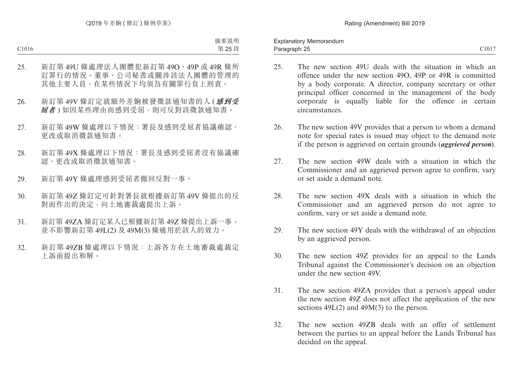- 25. The new section 49U deals with the situation in which an offence under the new section 49O, 49P or 49R is committed by a body corporate. A director, company secretary or other principal officer concerned in the management of the body corporate is equally liable for the offence in certain circumstances.
- 26. The new section 49V provides that a person to whom a demand note for special rates is issued may object to the demand note if the person is aggrieved on certain grounds (*aggrieved person*).
- 27. The new section 49W deals with a situation in which the Commissioner and an aggrieved person agree to confirm, vary or set aside a demand note.
- 28. The new section 49X deals with a situation in which the Commissioner and an aggrieved person do not agree to confirm, vary or set aside a demand note.
- 29. The new section 49Y deals with the withdrawal of an objection by an aggrieved person.
- 30. The new section 49Z provides for an appeal to the Lands Tribunal against the Commissioner's decision on an objection under the new section 49V.
- 31. The new section 49ZA provides that a person's appeal under the new section 49Z does not affect the application of the new sections  $49L(2)$  and  $49M(3)$  to the person.
- 32. The new section 49ZB deals with an offer of settlement between the parties to an appeal before the Lands Tribunal has decided on the appeal.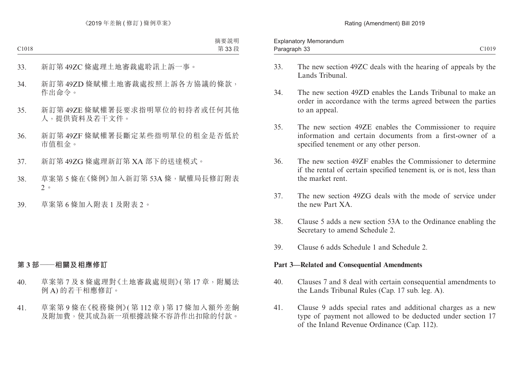| $\overline{\phantom{a}}$<br>Explanatory<br>∵Memorandum |       |
|--------------------------------------------------------|-------|
| $\sim$<br>Paragraph 35                                 | C1019 |

- 33. The new section 49ZC deals with the hearing of appeals by the Lands Tribunal.
- 34. The new section 49ZD enables the Lands Tribunal to make an order in accordance with the terms agreed between the parties to an appeal.
- 35. The new section 49ZE enables the Commissioner to require information and certain documents from a first-owner of a specified tenement or any other person.
- 36. The new section 49ZF enables the Commissioner to determine if the rental of certain specified tenement is, or is not, less than the market rent.
- 37. The new section 49ZG deals with the mode of service under the new Part XA.
- 38. Clause 5 adds a new section 53A to the Ordinance enabling the Secretary to amend Schedule 2.
- 39. Clause 6 adds Schedule 1 and Schedule 2.

#### **Part 3—Related and Consequential Amendments**

- 40. Clauses 7 and 8 deal with certain consequential amendments to the Lands Tribunal Rules (Cap. 17 sub. leg. A).
- 41. Clause 9 adds special rates and additional charges as a new type of payment not allowed to be deducted under section 17 of the Inland Revenue Ordinance (Cap. 112).